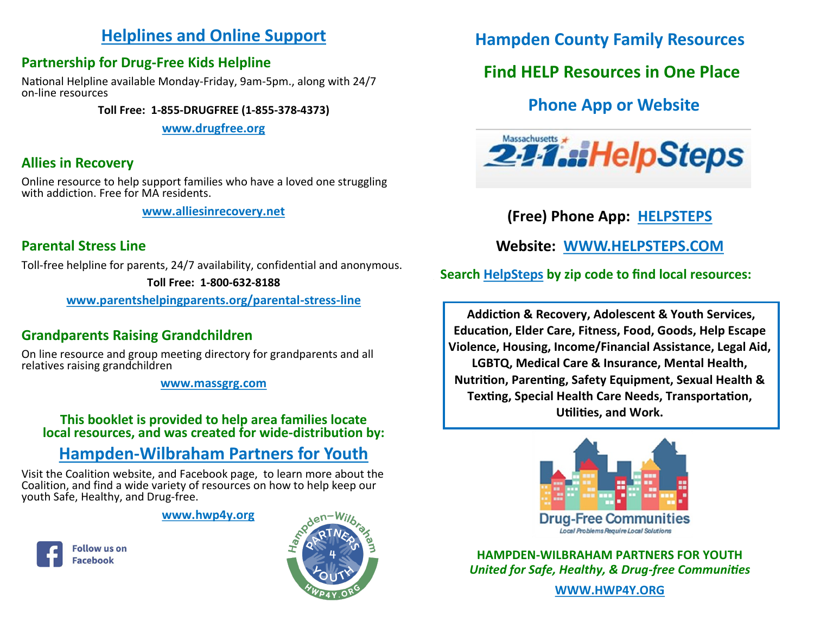### **Helplines and Online Support**

### **Partnership for Drug-Free Kids Helpline**

National Helpline available Monday-Friday, 9am-5pm., along with 24/7 on-line resources

**Toll Free: 1-855-DRUGFREE (1-855-378-4373)**

**[www.drugfree.org](http://www.drugfree.org)**

### **Allies in Recovery**

Online resource to help support families who have a loved one struggling with addiction. Free for MA residents.

**[www.alliesinrecovery.net](http://www.alliesinrecovery.net)**

### **Parental Stress Line**

Toll-free helpline for parents, 24/7 availability, confidential and anonymous.

**Toll Free: 1-800-632-8188**

**[www.parentshelpingparents.org/parental](http://www.parentshelpingparents.org/parental-stress-line)-stress-line**

## **Grandparents Raising Grandchildren**

On line resource and group meeting directory for grandparents and all relatives raising grandchildren

**[www.massgrg.com](http://www.massgrg.com)**

#### **This booklet is provided to help area families locate local resources, and was created for wide-distribution by:**

# **Hampden-[Wilbraham Partners for Youth](https://www.hwp4y.org/)**

Visit the Coalition website, and Facebook page, to learn more about the Coalition, and find a wide variety of resources on how to help keep our youth Safe, Healthy, and Drug-free.

#### **[www.hwp4y.org](https://www.hwp4y.org/)**





**Hampden County Family Resources**

# **Find HELP Resources in One Place**

# **Phone App or Website**



**(Free) Phone App: [HELPSTEPS](https://www.helpsteps.com/hs/home/#/)**

**Website: [WWW.HELPSTEPS.COM](https://www.helpsteps.com/hs/home/#/)**

 **Search [HelpSteps](https://www.helpsteps.com/hs/home/#/) by zip code to find local resources:**

**Addiction & Recovery, Adolescent & Youth Services, Education, Elder Care, Fitness, Food, Goods, Help Escape Violence, Housing, Income/Financial Assistance, Legal Aid, LGBTQ, Medical Care & Insurance, Mental Health, Nutrition, Parenting, Safety Equipment, Sexual Health & Texting, Special Health Care Needs, Transportation, Utilities, and Work.**



**HAMPDEN-WILBRAHAM PARTNERS FOR YOUTH** *United for Safe, Healthy, & Drug-free Communities*

**[WWW.HWP4Y.ORG](https://www.hwp4y.org/)**